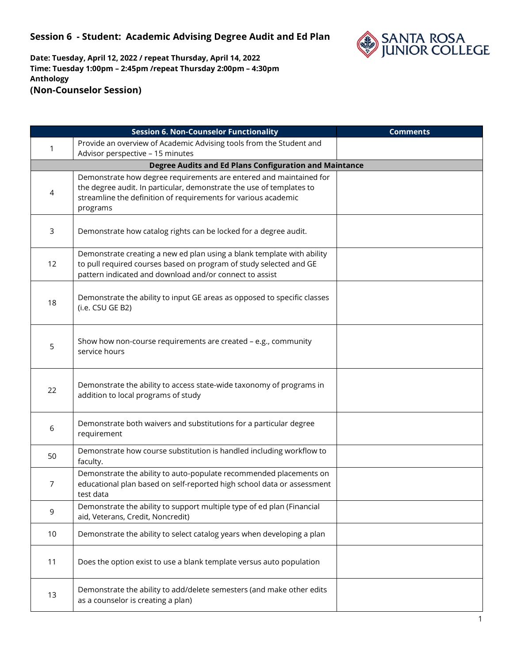

| <b>Session 6. Non-Counselor Functionality</b>          |                                                                                              | <b>Comments</b> |  |  |  |
|--------------------------------------------------------|----------------------------------------------------------------------------------------------|-----------------|--|--|--|
|                                                        | Provide an overview of Academic Advising tools from the Student and                          |                 |  |  |  |
| 1                                                      | Advisor perspective - 15 minutes                                                             |                 |  |  |  |
| Degree Audits and Ed Plans Configuration and Maintance |                                                                                              |                 |  |  |  |
|                                                        | Demonstrate how degree requirements are entered and maintained for                           |                 |  |  |  |
| 4                                                      | the degree audit. In particular, demonstrate the use of templates to                         |                 |  |  |  |
|                                                        | streamline the definition of requirements for various academic                               |                 |  |  |  |
|                                                        | programs                                                                                     |                 |  |  |  |
|                                                        |                                                                                              |                 |  |  |  |
| 3                                                      | Demonstrate how catalog rights can be locked for a degree audit.                             |                 |  |  |  |
|                                                        |                                                                                              |                 |  |  |  |
|                                                        | Demonstrate creating a new ed plan using a blank template with ability                       |                 |  |  |  |
| 12                                                     | to pull required courses based on program of study selected and GE                           |                 |  |  |  |
|                                                        | pattern indicated and download and/or connect to assist                                      |                 |  |  |  |
|                                                        |                                                                                              |                 |  |  |  |
| 18                                                     | Demonstrate the ability to input GE areas as opposed to specific classes<br>(i.e. CSU GE B2) |                 |  |  |  |
|                                                        |                                                                                              |                 |  |  |  |
|                                                        |                                                                                              |                 |  |  |  |
|                                                        | Show how non-course requirements are created - e.g., community                               |                 |  |  |  |
| 5                                                      | service hours                                                                                |                 |  |  |  |
|                                                        |                                                                                              |                 |  |  |  |
|                                                        |                                                                                              |                 |  |  |  |
| 22                                                     | Demonstrate the ability to access state-wide taxonomy of programs in                         |                 |  |  |  |
|                                                        | addition to local programs of study                                                          |                 |  |  |  |
|                                                        |                                                                                              |                 |  |  |  |
| 6                                                      | Demonstrate both waivers and substitutions for a particular degree                           |                 |  |  |  |
|                                                        | requirement                                                                                  |                 |  |  |  |
|                                                        | Demonstrate how course substitution is handled including workflow to                         |                 |  |  |  |
| 50                                                     | faculty.                                                                                     |                 |  |  |  |
|                                                        | Demonstrate the ability to auto-populate recommended placements on                           |                 |  |  |  |
| 7                                                      | educational plan based on self-reported high school data or assessment                       |                 |  |  |  |
|                                                        | test data                                                                                    |                 |  |  |  |
| 9                                                      | Demonstrate the ability to support multiple type of ed plan (Financial                       |                 |  |  |  |
|                                                        | aid, Veterans, Credit, Noncredit)                                                            |                 |  |  |  |
| 10                                                     | Demonstrate the ability to select catalog years when developing a plan                       |                 |  |  |  |
|                                                        |                                                                                              |                 |  |  |  |
| 11                                                     | Does the option exist to use a blank template versus auto population                         |                 |  |  |  |
|                                                        |                                                                                              |                 |  |  |  |
|                                                        |                                                                                              |                 |  |  |  |
| 13                                                     | Demonstrate the ability to add/delete semesters (and make other edits                        |                 |  |  |  |
|                                                        | as a counselor is creating a plan)                                                           |                 |  |  |  |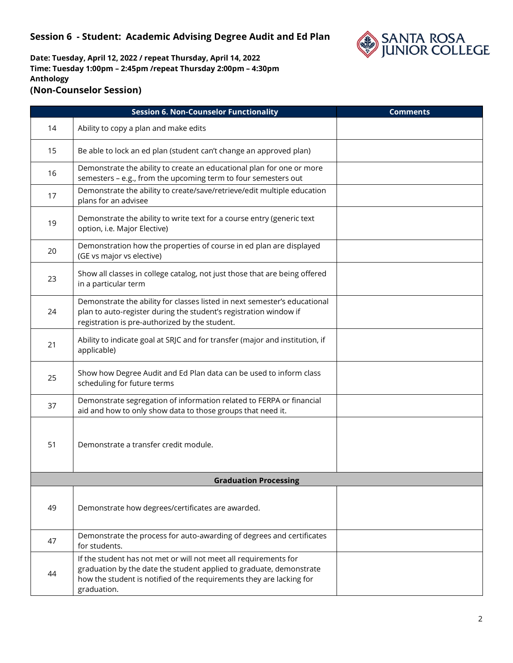

|    | <b>Session 6. Non-Counselor Functionality</b>                                                                                                                                                                                  | <b>Comments</b> |
|----|--------------------------------------------------------------------------------------------------------------------------------------------------------------------------------------------------------------------------------|-----------------|
| 14 | Ability to copy a plan and make edits                                                                                                                                                                                          |                 |
| 15 | Be able to lock an ed plan (student can't change an approved plan)                                                                                                                                                             |                 |
| 16 | Demonstrate the ability to create an educational plan for one or more<br>semesters - e.g., from the upcoming term to four semesters out                                                                                        |                 |
| 17 | Demonstrate the ability to create/save/retrieve/edit multiple education<br>plans for an advisee                                                                                                                                |                 |
| 19 | Demonstrate the ability to write text for a course entry (generic text<br>option, i.e. Major Elective)                                                                                                                         |                 |
| 20 | Demonstration how the properties of course in ed plan are displayed<br>(GE vs major vs elective)                                                                                                                               |                 |
| 23 | Show all classes in college catalog, not just those that are being offered<br>in a particular term                                                                                                                             |                 |
| 24 | Demonstrate the ability for classes listed in next semester's educational<br>plan to auto-register during the student's registration window if<br>registration is pre-authorized by the student.                               |                 |
| 21 | Ability to indicate goal at SRJC and for transfer (major and institution, if<br>applicable)                                                                                                                                    |                 |
| 25 | Show how Degree Audit and Ed Plan data can be used to inform class<br>scheduling for future terms                                                                                                                              |                 |
| 37 | Demonstrate segregation of information related to FERPA or financial<br>aid and how to only show data to those groups that need it.                                                                                            |                 |
| 51 | Demonstrate a transfer credit module.                                                                                                                                                                                          |                 |
|    | <b>Graduation Processing</b>                                                                                                                                                                                                   |                 |
| 49 | Demonstrate how degrees/certificates are awarded.                                                                                                                                                                              |                 |
| 47 | Demonstrate the process for auto-awarding of degrees and certificates<br>for students.                                                                                                                                         |                 |
| 44 | If the student has not met or will not meet all requirements for<br>graduation by the date the student applied to graduate, demonstrate<br>how the student is notified of the requirements they are lacking for<br>graduation. |                 |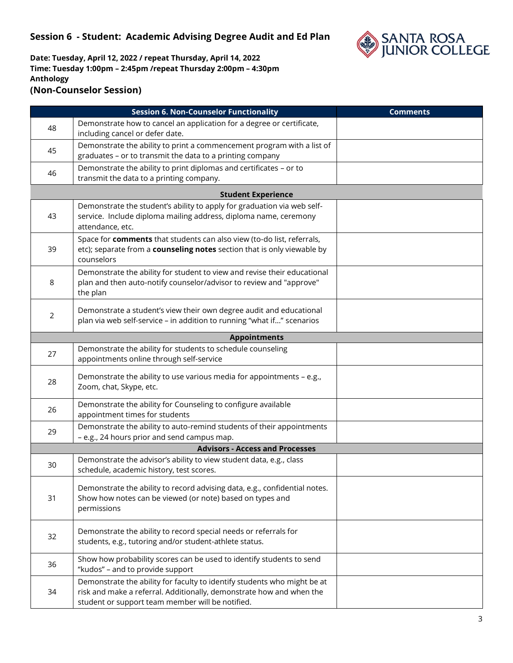

|                | <b>Session 6. Non-Counselor Functionality</b>                                                                                                                                                        | <b>Comments</b> |  |  |  |
|----------------|------------------------------------------------------------------------------------------------------------------------------------------------------------------------------------------------------|-----------------|--|--|--|
| 48             | Demonstrate how to cancel an application for a degree or certificate,<br>including cancel or defer date.                                                                                             |                 |  |  |  |
| 45             | Demonstrate the ability to print a commencement program with a list of<br>graduates - or to transmit the data to a printing company                                                                  |                 |  |  |  |
| 46             | Demonstrate the ability to print diplomas and certificates - or to<br>transmit the data to a printing company.                                                                                       |                 |  |  |  |
|                | <b>Student Experience</b>                                                                                                                                                                            |                 |  |  |  |
| 43             | Demonstrate the student's ability to apply for graduation via web self-<br>service. Include diploma mailing address, diploma name, ceremony<br>attendance, etc.                                      |                 |  |  |  |
| 39             | Space for comments that students can also view (to-do list, referrals,<br>etc); separate from a counseling notes section that is only viewable by<br>counselors                                      |                 |  |  |  |
| 8              | Demonstrate the ability for student to view and revise their educational<br>plan and then auto-notify counselor/advisor to review and "approve"<br>the plan                                          |                 |  |  |  |
| $\overline{2}$ | Demonstrate a student's view their own degree audit and educational<br>plan via web self-service - in addition to running "what if" scenarios                                                        |                 |  |  |  |
|                | <b>Appointments</b>                                                                                                                                                                                  |                 |  |  |  |
| 27             | Demonstrate the ability for students to schedule counseling<br>appointments online through self-service                                                                                              |                 |  |  |  |
| 28             | Demonstrate the ability to use various media for appointments - e.g.,<br>Zoom, chat, Skype, etc.                                                                                                     |                 |  |  |  |
| 26             | Demonstrate the ability for Counseling to configure available<br>appointment times for students                                                                                                      |                 |  |  |  |
| 29             | Demonstrate the ability to auto-remind students of their appointments<br>- e.g., 24 hours prior and send campus map.                                                                                 |                 |  |  |  |
|                | <b>Advisors - Access and Processes</b>                                                                                                                                                               |                 |  |  |  |
| 30             | Demonstrate the advisor's ability to view student data, e.g., class<br>schedule, academic history, test scores.                                                                                      |                 |  |  |  |
| 31             | Demonstrate the ability to record advising data, e.g., confidential notes.<br>Show how notes can be viewed (or note) based on types and<br>permissions                                               |                 |  |  |  |
| 32             | Demonstrate the ability to record special needs or referrals for<br>students, e.g., tutoring and/or student-athlete status.                                                                          |                 |  |  |  |
| 36             | Show how probability scores can be used to identify students to send<br>"kudos" - and to provide support                                                                                             |                 |  |  |  |
| 34             | Demonstrate the ability for faculty to identify students who might be at<br>risk and make a referral. Additionally, demonstrate how and when the<br>student or support team member will be notified. |                 |  |  |  |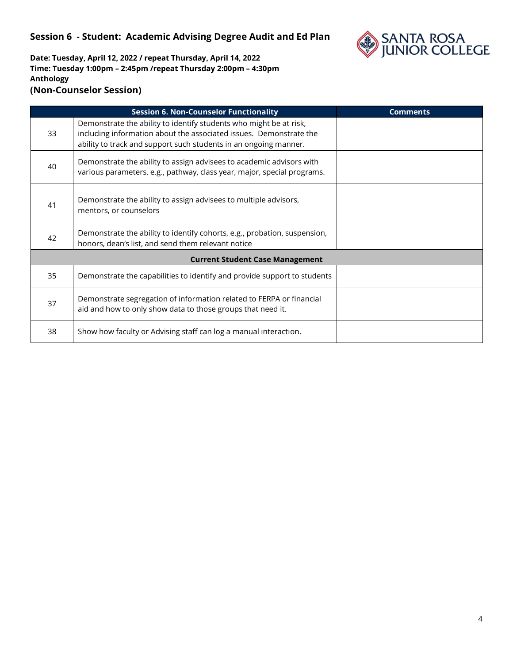

| <b>Session 6. Non-Counselor Functionality</b> |                                                                                                                                                                                                              | <b>Comments</b> |  |  |
|-----------------------------------------------|--------------------------------------------------------------------------------------------------------------------------------------------------------------------------------------------------------------|-----------------|--|--|
| 33                                            | Demonstrate the ability to identify students who might be at risk,<br>including information about the associated issues. Demonstrate the<br>ability to track and support such students in an ongoing manner. |                 |  |  |
| 40                                            | Demonstrate the ability to assign advisees to academic advisors with<br>various parameters, e.g., pathway, class year, major, special programs.                                                              |                 |  |  |
| 41                                            | Demonstrate the ability to assign advisees to multiple advisors,<br>mentors, or counselors                                                                                                                   |                 |  |  |
| 42                                            | Demonstrate the ability to identify cohorts, e.g., probation, suspension,<br>honors, dean's list, and send them relevant notice                                                                              |                 |  |  |
| <b>Current Student Case Management</b>        |                                                                                                                                                                                                              |                 |  |  |
| 35                                            | Demonstrate the capabilities to identify and provide support to students                                                                                                                                     |                 |  |  |
| 37                                            | Demonstrate segregation of information related to FERPA or financial<br>aid and how to only show data to those groups that need it.                                                                          |                 |  |  |
| 38                                            | Show how faculty or Advising staff can log a manual interaction.                                                                                                                                             |                 |  |  |